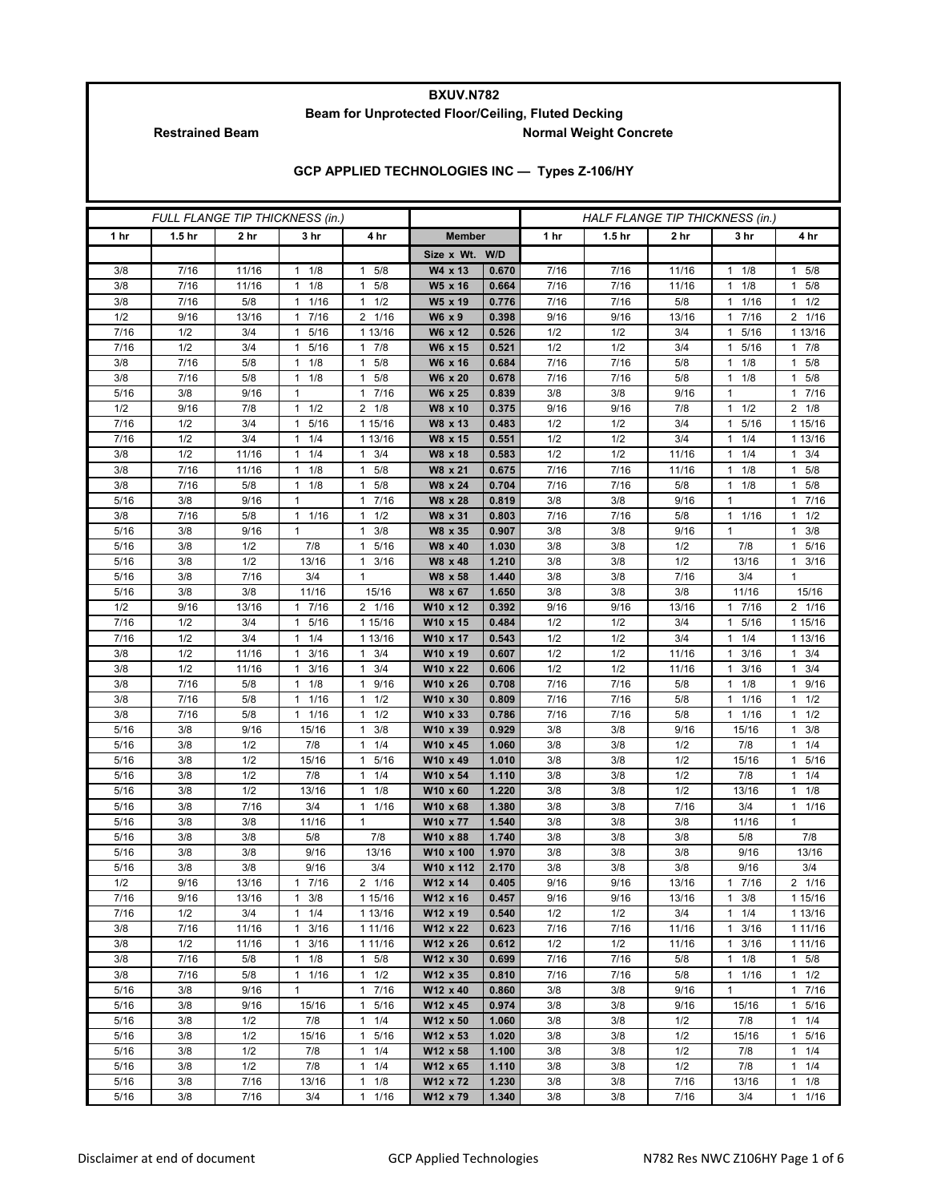## **BXUV.N782 Beam for Unprotected Floor/Ceiling, Fluted Decking Restrained Beam Normal Weight Concrete**

**GCP APPLIED TECHNOLOGIES INC — Types Z-106/HY**

| FULL FLANGE TIP THICKNESS (in.) |                   |             |                           |                                             |                       |                | HALF FLANGE TIP THICKNESS (in.) |                   |              |                          |                           |  |
|---------------------------------|-------------------|-------------|---------------------------|---------------------------------------------|-----------------------|----------------|---------------------------------|-------------------|--------------|--------------------------|---------------------------|--|
| 1 <sub>hr</sub>                 | 1.5 <sub>hr</sub> | 2 hr        | 3 hr                      | 4 hr                                        | <b>Member</b>         |                | 1 <sub>hr</sub>                 | 1.5 <sub>hr</sub> | 2 hr         | 3 hr                     | 4 hr                      |  |
|                                 |                   |             |                           |                                             | Size x Wt. W/D        |                |                                 |                   |              |                          |                           |  |
| 3/8                             | 7/16              | 11/16       | $1 \t1/8$                 | 5/8<br>$\mathbf{1}$                         | W4 x 13               | 0.670          | 7/16                            | 7/16              | 11/16        | 1/8<br>1                 | 5/8<br>1                  |  |
| 3/8                             | 7/16              | 11/16       | $1 \t1/8$                 | 5/8<br>$\mathbf{1}$                         | W5 x 16               | 0.664          | 7/16                            | 7/16              | 11/16        | 1/8<br>1                 | 5/8<br>1                  |  |
| 3/8                             | 7/16              | 5/8         | $1 \t1/16$                | 1/2<br>$\mathbf{1}$                         | W5 x 19               | 0.776          | 7/16                            | 7/16              | 5/8          | 1/16<br>1                | $1 \t1/2$                 |  |
| 1/2                             | 9/16              | 13/16       | 1 7/16                    | 2 1/16                                      | W6 x 9                | 0.398          | 9/16                            | 9/16              | 13/16        | 7/16<br>1                | 2 1/16                    |  |
| 7/16                            | 1/2               | 3/4         | 5/16<br>$\mathbf{1}$      | 1 13/16                                     | W6 x 12               | 0.526          | 1/2                             | 1/2               | 3/4          | 5/16<br>1                | 1 13/16                   |  |
| 7/16                            | 1/2               | 3/4         | 5/16<br>$\mathbf{1}$      | 7/8<br>$\mathbf{1}$                         | W6 x 15               | 0.521          | 1/2                             | 1/2               | 3/4          | 5/16<br>1                | $1 \t7/8$                 |  |
| 3/8                             | 7/16              | 5/8         | $1 \t1/8$                 | $1 \t5/8$                                   | W6 x 16               | 0.684          | 7/16                            | 7/16              | 5/8          | 1/8<br>1                 | $1 \t5/8$                 |  |
| 3/8                             | 7/16              | 5/8         | 1/8<br>1                  | 5/8<br>1.                                   | W6 x 20               | 0.678          | 7/16                            | 7/16              | 5/8          | 1/8<br>1                 | 5/8<br>1                  |  |
| 5/16                            | 3/8               | 9/16        | $\mathbf{1}$              | 7/16<br>$\mathbf{1}$                        | W6 x 25               | 0.839          | 3/8                             | 3/8               | 9/16         | 1                        | 7/16<br>1                 |  |
| 1/2                             | 9/16              | 7/8         | $1 \t1/2$                 | $2 \t1/8$                                   | W8 x 10               | 0.375          | 9/16                            | 9/16              | 7/8          | $1 \t1/2$                | $2 \t1/8$                 |  |
| 7/16                            | 1/2               | 3/4         | 5/16<br>$\mathbf{1}$      | 1 15/16                                     | W8 x 13               | 0.483          | 1/2                             | 1/2               | 3/4          | 5/16<br>1                | 1 15/16                   |  |
| 7/16                            | 1/2               | 3/4         | $1 \t1/4$                 | 1 13/16                                     | W8 x 15               | 0.551          | 1/2                             | 1/2               | 3/4          | 1/4<br>1                 | 1 13/16                   |  |
| 3/8                             | 1/2               | 11/16       | $1 \t1/4$                 | 3/4<br>$\mathbf{1}$                         | W8 x 18               | 0.583          | 1/2                             | 1/2               | 11/16        | 1/4<br>1                 | $1 \t3/4$                 |  |
| 3/8                             | 7/16              | 11/16       | $1 \t1/8$                 | 5/8<br>$\mathbf{1}$                         | W8 x 21               | 0.675          | 7/16                            | 7/16<br>7/16      | 11/16<br>5/8 | 1/8<br>1                 | 5/8<br>1<br>5/8<br>1      |  |
| 3/8<br>5/16                     | 7/16<br>3/8       | 5/8<br>9/16 | $1 \t1/8$<br>$\mathbf{1}$ | 5/8<br>$\mathbf{1}$<br>7/16<br>$\mathbf{1}$ | W8 x 24<br>W8 x 28    | 0.704<br>0.819 | 7/16<br>3/8                     | 3/8               | 9/16         | 1/8<br>1<br>$\mathbf{1}$ | 7/16<br>1                 |  |
| 3/8                             | 7/16              | 5/8         | $1 \t1/16$                | 1/2<br>$\mathbf{1}$                         | W8 x 31               | 0.803          | 7/16                            | 7/16              | 5/8          | 1 1/16                   | 1/2<br>1                  |  |
| 5/16                            | 3/8               | 9/16        | $\mathbf{1}$              | 3/8<br>$\mathbf{1}$                         | W8 x 35               | 0.907          | 3/8                             | 3/8               | 9/16         | $\mathbf{1}$             | 3/8<br>1                  |  |
| 5/16                            | 3/8               | 1/2         | 7/8                       | $\mathbf{1}$<br>5/16                        | W8 x 40               | 1.030          | 3/8                             | 3/8               | 1/2          | 7/8                      | 5/16<br>1                 |  |
| $5/16$                          | 3/8               | 1/2         | 13/16                     | 3/16<br>$\mathbf{1}$                        | W8 x 48               | 1.210          | 3/8                             | 3/8               | 1/2          | 13/16                    | 3/16<br>1                 |  |
| 5/16                            | 3/8               | 7/16        | 3/4                       | $\mathbf{1}$                                | W8 x 58               | 1.440          | 3/8                             | 3/8               | 7/16         | 3/4                      | $\mathbf{1}$              |  |
| 5/16                            | 3/8               | 3/8         | 11/16                     | 15/16                                       | W8 x 67               | 1.650          | 3/8                             | 3/8               | 3/8          | 11/16                    | 15/16                     |  |
| 1/2                             | 9/16              | 13/16       | 1 7/16                    | 2 1/16                                      | W10 x 12              | 0.392          | 9/16                            | 9/16              | 13/16        | 7/16<br>1                | 2 1/16                    |  |
| 7/16                            | 1/2               | 3/4         | 1 5/16                    | 1 15/16                                     | W10 x 15              | 0.484          | 1/2                             | 1/2               | 3/4          | 5/16<br>1                | 1 15/16                   |  |
| 7/16                            | 1/2               | 3/4         | $1 \t1/4$                 | 1 13/16                                     | W10 x 17              | 0.543          | 1/2                             | 1/2               | 3/4          | 1/4<br>1                 | 1 13/16                   |  |
| 3/8                             | 1/2               | 11/16       | 3/16<br>$\mathbf{1}$      | 3/4<br>$\mathbf{1}$                         | W10 x 19              | 0.607          | 1/2                             | 1/2               | 11/16        | 3/16<br>1                | 3/4<br>1                  |  |
| 3/8                             | 1/2               | 11/16       | 3/16<br>$\mathbf{1}$      | 3/4<br>$\mathbf{1}$                         | W10 x 22              | 0.606          | 1/2                             | 1/2               | 11/16        | 3/16<br>1                | 3/4<br>1                  |  |
| 3/8                             | 7/16              | 5/8         | $1 \t1/8$                 | 9/16<br>$\mathbf{1}$                        | W10 x 26              | 0.708          | 7/16                            | 7/16              | 5/8          | 1/8<br>1                 | 9/16<br>$\mathbf{1}$      |  |
| 3/8                             | 7/16              | 5/8         | 1 1/16                    | 1/2<br>$\mathbf{1}$                         | W10 x 30              | 0.809          | 7/16                            | 7/16              | 5/8          | 1/16<br>1                | 1/2<br>1                  |  |
| 3/8                             | 7/16              | 5/8         | 1 1/16                    | 1/2<br>$\mathbf{1}$                         | W10 x 33              | 0.786          | 7/16                            | 7/16              | 5/8          | 1/16<br>1                | 1/2                       |  |
| 5/16                            | 3/8               | 9/16        | 15/16                     | 3/8<br>$\mathbf{1}$                         | W10 x 39              | 0.929          | 3/8                             | 3/8               | 9/16         | 15/16                    | 3/8<br>1                  |  |
| 5/16                            | 3/8               | 1/2         | 7/8                       | $1 \t1/4$                                   | W10 x 45              | 1.060          | 3/8                             | 3/8               | 1/2          | 7/8                      | $1 \t1/4$                 |  |
| 5/16                            | 3/8               | 1/2         | 15/16                     | 5/16<br>1                                   | W10 x 49              | 1.010          | 3/8                             | 3/8               | 1/2          | 15/16                    | 5/16<br>1                 |  |
| 5/16                            | 3/8               | 1/2         | 7/8                       | 1/4<br>$\mathbf{1}$                         | W10 x 54              | 1.110          | 3/8                             | 3/8               | 1/2          | 7/8                      | $1 \t1/4$                 |  |
| 5/16                            | 3/8               | 1/2         | 13/16                     | 1/8<br>$\mathbf{1}$                         | W10 x 60              | 1.220          | 3/8                             | 3/8               | 1/2          | 13/16                    | $1 \t1/8$                 |  |
| 5/16                            | 3/8               | 7/16<br>3/8 | 3/4                       | 1/16<br>$\mathbf{1}$<br>$\mathbf{1}$        | W10 x 68              | 1.380          | 3/8                             | 3/8               | 7/16<br>3/8  | 3/4                      | 1/16<br>1<br>$\mathbf{1}$ |  |
| 5/16<br>5/16                    | 3/8<br>3/8        | 3/8         | 11/16                     |                                             | W10 x 77              | 1.540<br>1.740 | 3/8<br>3/8                      | 3/8               |              | 11/16                    | 7/8                       |  |
| 5/16                            | 3/8               | 3/8         | 5/8<br>9/16               | 7/8<br>13/16                                | W10 x 88<br>W10 x 100 | 1.970          | 3/8                             | 3/8<br>3/8        | 3/8<br>3/8   | 5/8<br>9/16              | 13/16                     |  |
| 5/16                            | 3/8               | 3/8         | 9/16                      | 3/4                                         | W10 x 112             | 2.170          | 3/8                             | 3/8               | 3/8          | 9/16                     | 3/4                       |  |
| 1/2                             | 9/16              | 13/16       | 7/16<br>1                 | 2 1/16                                      | W12 x 14              | 0.405          | 9/16                            | 9/16              | 13/16        | 7/16<br>$\mathbf{1}$     | 2 1/16                    |  |
| 7/16                            | 9/16              | 13/16       | $1 \t3/8$                 | 1 15/16                                     | W12 x 16              | 0.457          | 9/16                            | 9/16              | 13/16        | 3/8<br>$\mathbf{1}$      | 1 15/16                   |  |
| 7/16                            | 1/2               | 3/4         | $1 \t1/4$                 | 1 13/16                                     | W12 x 19              | 0.540          | 1/2                             | 1/2               | 3/4          | 1/4<br>1                 | 1 13/16                   |  |
| 3/8                             | 7/16              | 11/16       | 3/16<br>$\mathbf{1}$      | 1 11/16                                     | W12 x 22              | 0.623          | 7/16                            | 7/16              | 11/16        | 3/16<br>$\mathbf{1}$     | 1 1 1 / 16                |  |
| 3/8                             | 1/2               | 11/16       | 3/16<br>$\mathbf{1}$      | 1 11/16                                     | W12 x 26              | 0.612          | 1/2                             | 1/2               | 11/16        | 3/16<br>1                | 1 11/16                   |  |
| 3/8                             | 7/16              | 5/8         | $1 \t1/8$                 | $1 \t5/8$                                   | W12 x 30              | 0.699          | 7/16                            | 7/16              | 5/8          | 1<br>1/8                 | $1 \t5/8$                 |  |
| 3/8                             | 7/16              | 5/8         | $1 \t1/16$                | 1/2<br>$\mathbf{1}$                         | W12 x 35              | 0.810          | 7/16                            | 7/16              | 5/8          | 1/16<br>1                | $1 \t1/2$                 |  |
| 5/16                            | 3/8               | 9/16        | $\mathbf{1}$              | 17/16                                       | W12 x 40              | 0.860          | 3/8                             | 3/8               | 9/16         | $\mathbf{1}$             | $\mathbf{1}$<br>7/16      |  |
| 5/16                            | 3/8               | 9/16        | 15/16                     | 5/16<br>$\mathbf{1}$                        | W12 x 45              | 0.974          | 3/8                             | 3/8               | 9/16         | 15/16                    | 5/16<br>$\mathbf{1}$      |  |
| 5/16                            | 3/8               | 1/2         | 7/8                       | 1/4<br>$\mathbf{1}$                         | W12 x 50              | 1.060          | 3/8                             | 3/8               | 1/2          | 7/8                      | 1/4<br>$\mathbf{1}$       |  |
| 5/16                            | 3/8               | 1/2         | 15/16                     | 5/16<br>$\mathbf{1}$                        | W12 x 53              | 1.020          | 3/8                             | 3/8               | 1/2          | 15/16                    | 5/16<br>1                 |  |
| 5/16                            | 3/8               | 1/2         | 7/8                       | 1/4<br>$\mathbf{1}$                         | W12 x 58              | 1.100          | 3/8                             | 3/8               | 1/2          | 7/8                      | 1/4<br>$\mathbf{1}$       |  |
| 5/16                            | 3/8               | 1/2         | 7/8                       | $\mathbf{1}$<br>1/4                         | W12 x 65              | 1.110          | 3/8                             | 3/8               | 1/2          | 7/8                      | $1 \t1/4$                 |  |
| 5/16                            | 3/8               | 7/16        | 13/16                     | 1/8<br>$\mathbf{1}$                         | W12 x 72              | 1.230          | 3/8                             | 3/8               | 7/16         | 13/16                    | $1 \t1/8$                 |  |
| 5/16                            | 3/8               | 7/16        | 3/4                       | $\mathbf{1}$<br>1/16                        | W12 x 79              | 1.340          | 3/8                             | 3/8               | 7/16         | 3/4                      | 1/16<br>$\mathbf{1}$      |  |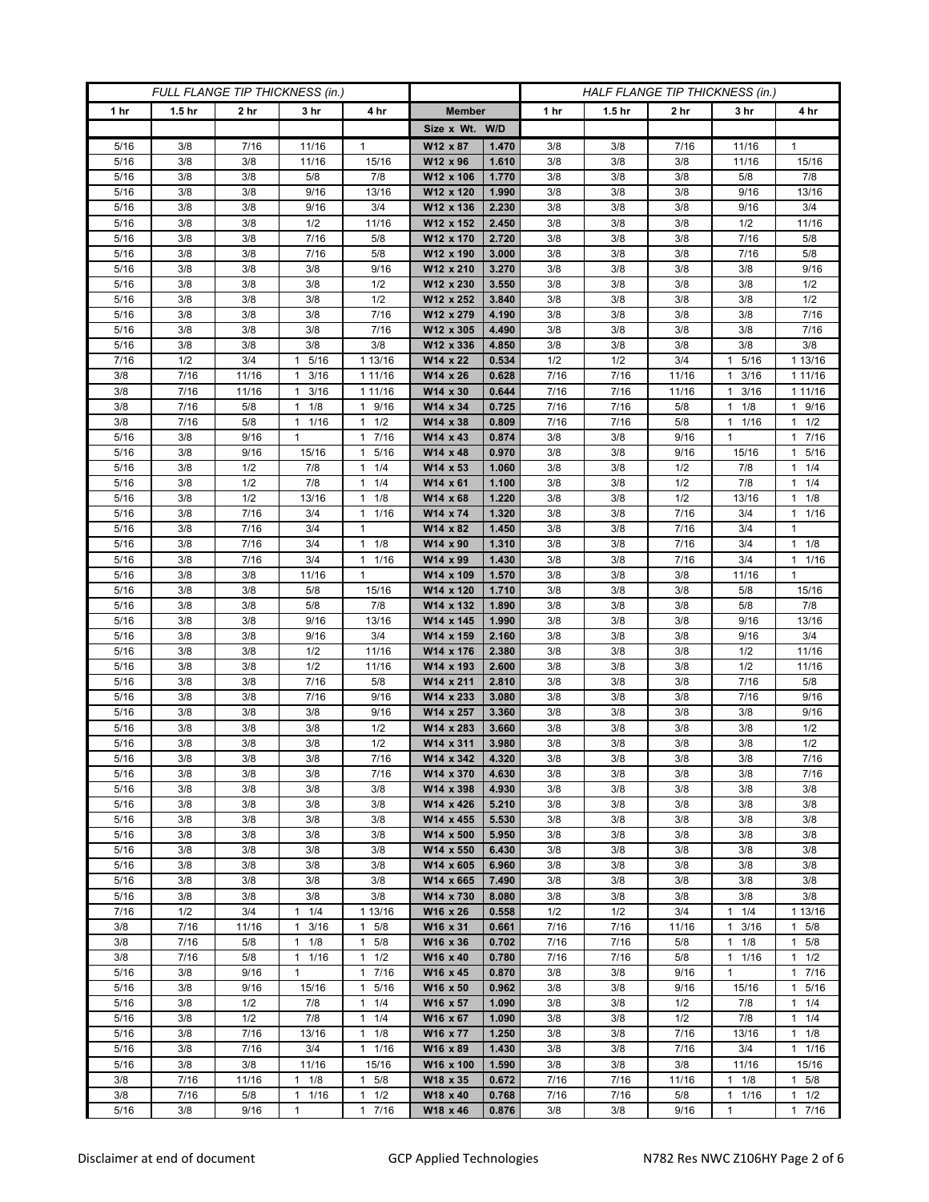| FULL FLANGE TIP THICKNESS (in.) |                   |                 |                      |                                     | HALF FLANGE TIP THICKNESS (in.) |                |            |                   |                 |                      |                     |
|---------------------------------|-------------------|-----------------|----------------------|-------------------------------------|---------------------------------|----------------|------------|-------------------|-----------------|----------------------|---------------------|
| 1 <sub>hr</sub>                 | 1.5 <sub>hr</sub> | 2 <sub>hr</sub> | 3 <sub>hr</sub>      | 4 hr                                | <b>Member</b>                   |                | 1 hr       | 1.5 <sub>hr</sub> | 2 <sub>hr</sub> | 3 hr                 | 4 hr                |
|                                 |                   |                 |                      |                                     | Size x Wt. W/D                  |                |            |                   |                 |                      |                     |
| 5/16                            | 3/8               | 7/16            | 11/16                | $\mathbf{1}$                        | W12 x 87                        | 1.470          | 3/8        | 3/8               | 7/16            | 11/16                | 1                   |
| 5/16                            | 3/8               | 3/8             | 11/16                | 15/16                               | W12 x 96                        | 1.610          | 3/8        | 3/8               | 3/8             | 11/16                | 15/16               |
| 5/16                            | 3/8               | 3/8             | 5/8                  | 7/8                                 | W12 x 106                       | 1.770          | 3/8        | 3/8               | 3/8             | 5/8                  | 7/8                 |
| 5/16                            | 3/8               | 3/8             | 9/16                 | 13/16                               | W12 x 120                       | 1.990          | 3/8        | 3/8               | 3/8             | 9/16                 | 13/16               |
| 5/16                            | 3/8               | 3/8             | 9/16                 | 3/4                                 | W12 x 136                       | 2.230          | 3/8        | 3/8               | 3/8             | 9/16                 | 3/4                 |
| 5/16                            | 3/8               | 3/8             | 1/2                  | 11/16                               | W12 x 152                       | 2.450          | 3/8        | 3/8               | 3/8             | 1/2                  | 11/16               |
| 5/16                            | 3/8               | 3/8             | 7/16                 | 5/8                                 | W12 x 170                       | 2.720          | 3/8        | 3/8               | 3/8             | 7/16                 | 5/8                 |
| 5/16<br>5/16                    | 3/8<br>3/8        | 3/8<br>3/8      | 7/16                 | 5/8                                 | W12 x 190<br>W12 x 210          | 3.000<br>3.270 | 3/8<br>3/8 | 3/8               | 3/8             | 7/16<br>3/8          | 5/8                 |
| 5/16                            | 3/8               | 3/8             | 3/8<br>3/8           | 9/16<br>1/2                         | W12 x 230                       | 3.550          | 3/8        | 3/8<br>3/8        | 3/8<br>3/8      | 3/8                  | 9/16<br>1/2         |
| 5/16                            | 3/8               | 3/8             | 3/8                  | 1/2                                 | W12 x 252                       | 3.840          | 3/8        | 3/8               | 3/8             | 3/8                  | 1/2                 |
| 5/16                            | 3/8               | 3/8             | 3/8                  | 7/16                                | W12 x 279                       | 4.190          | 3/8        | 3/8               | 3/8             | 3/8                  | 7/16                |
| 5/16                            | 3/8               | 3/8             | 3/8                  | 7/16                                | W12 x 305                       | 4.490          | 3/8        | 3/8               | 3/8             | 3/8                  | 7/16                |
| 5/16                            | 3/8               | 3/8             | 3/8                  | 3/8                                 | W12 x 336                       | 4.850          | 3/8        | 3/8               | 3/8             | 3/8                  | 3/8                 |
| 7/16                            | 1/2               | 3/4             | 5/16<br>1            | 1 13/16                             | W14 x 22                        | 0.534          | 1/2        | 1/2               | 3/4             | 5/16                 | 1 13/16             |
| 3/8                             | 7/16              | 11/16           | 3/16<br>1            | 1 11/16                             | W14 x 26                        | 0.628          | 7/16       | 7/16              | 11/16           | 3/16<br>1            | 1 1 1 / 16          |
| 3/8                             | 7/16              | 11/16           | 3/16<br>$\mathbf{1}$ | 1 11/16                             | W14 x 30                        | 0.644          | 7/16       | 7/16              | 11/16           | 3/16<br>1            | 1 1 1 / 16          |
| 3/8                             | 7/16              | 5/8             | $1 \t1/8$            | 9/16<br>$\mathbf{1}$                | W14 x 34                        | 0.725          | 7/16       | 7/16              | 5/8             | $1 \t1/8$            | 1 9/16              |
| 3/8                             | 7/16              | 5/8             | 1 1/16               | 1/2<br>1                            | W14 x 38                        | 0.809          | 7/16       | 7/16              | 5/8             | 1 1/16               | $1 \t1/2$           |
| 5/16                            | 3/8               | 9/16            | $\mathbf{1}$         | 7/16<br>$\mathbf{1}$                | W14 x 43                        | 0.874          | 3/8        | 3/8               | 9/16            | 1                    | 1 7/16              |
| 5/16                            | 3/8               | 9/16            | 15/16                | 5/16<br>$\mathbf{1}$                | W14 x 48                        | 0.970          | 3/8        | 3/8               | 9/16            | 15/16                | 1 5/16              |
| 5/16                            | 3/8               | 1/2             | 7/8                  | 1/4<br>$\mathbf{1}$                 | W14 x 53                        | 1.060          | 3/8        | 3/8               | 1/2             | 7/8                  | $1 \t1/4$           |
| 5/16                            | 3/8               | 1/2             | 7/8                  | 1/4<br>1                            | W14 x 61                        | 1.100          | 3/8        | 3/8               | 1/2             | 7/8                  | $1 \t1/4$           |
| 5/16                            | 3/8               | 1/2             | 13/16                | 1/8<br>$\mathbf{1}$                 | $W14 \times 68$                 | 1.220          | 3/8        | 3/8               | 1/2             | 13/16                | $1 \t1/8$           |
| 5/16                            | 3/8               | 7/16            | 3/4                  | 1/16<br>1                           | W14 x 74                        | 1.320          | 3/8        | 3/8               | 7/16            | 3/4                  | $1 \t1/16$          |
| 5/16<br>5/16                    | 3/8<br>3/8        | 7/16<br>7/16    | 3/4<br>3/4           | $\mathbf{1}$<br>$\mathbf{1}$<br>1/8 | W14 x 82<br>W14 x 90            | 1.450<br>1.310 | 3/8<br>3/8 | 3/8<br>3/8        | 7/16<br>7/16    | 3/4<br>3/4           | 1<br>$1 \t1/8$      |
| 5/16                            | 3/8               | 7/16            | 3/4                  | 1/16<br>$\mathbf{1}$                | W14 x 99                        | 1.430          | 3/8        | 3/8               | 7/16            | 3/4                  | 11/16               |
| 5/16                            | 3/8               | 3/8             | 11/16                | $\mathbf{1}$                        | W14 x 109                       | 1.570          | 3/8        | 3/8               | 3/8             | 11/16                | $\mathbf{1}$        |
| 5/16                            | 3/8               | 3/8             | 5/8                  | 15/16                               | W14 x 120                       | 1.710          | 3/8        | 3/8               | 3/8             | 5/8                  | 15/16               |
| 5/16                            | 3/8               | 3/8             | 5/8                  | 7/8                                 | W14 x 132                       | 1.890          | 3/8        | 3/8               | 3/8             | 5/8                  | 7/8                 |
| 5/16                            | 3/8               | 3/8             | 9/16                 | 13/16                               | W14 x 145                       | 1.990          | 3/8        | 3/8               | 3/8             | 9/16                 | 13/16               |
| 5/16                            | 3/8               | 3/8             | 9/16                 | 3/4                                 | W14 x 159                       | 2.160          | 3/8        | 3/8               | 3/8             | 9/16                 | 3/4                 |
| 5/16                            | 3/8               | 3/8             | 1/2                  | 11/16                               | W14 x 176                       | 2.380          | 3/8        | 3/8               | 3/8             | 1/2                  | 11/16               |
| 5/16                            | 3/8               | 3/8             | 1/2                  | 11/16                               | W14 x 193                       | 2.600          | 3/8        | 3/8               | 3/8             | 1/2                  | 11/16               |
| 5/16                            | 3/8               | 3/8             | 7/16                 | 5/8                                 | W14 x 211                       | 2.810          | 3/8        | 3/8               | 3/8             | 7/16                 | 5/8                 |
| 5/16                            | 3/8               | 3/8             | 7/16                 | 9/16                                | W14 x 233                       | 3.080          | 3/8        | 3/8               | 3/8             | 7/16                 | 9/16                |
| 5/16                            | 3/8               | 3/8             | 3/8                  | 9/16                                | W14 x 257                       | 3.360          | 3/8        | 3/8               | 3/8             | 3/8                  | 9/16                |
| 5/16                            | 3/8               | 3/8             | 3/8                  | 1/2                                 | W14 x 283                       | 3.660          | 3/8        | 3/8               | 3/8             | 3/8                  | 1/2                 |
| 5/16                            | 3/8               | 3/8             | 3/8                  | 1/2                                 | W14 x 311                       | 3.980          | 3/8        | 3/8               | 3/8             | 3/8                  | 1/2                 |
| 5/16                            | 3/8               | 3/8             | 3/8                  | 7/16                                | W14 x 342                       | 4.320          | 3/8        | 3/8               | 3/8             | 3/8                  | 7/16                |
| 5/16                            | 3/8               | 3/8             | 3/8                  | 7/16                                | W14 x 370                       | 4.630          | 3/8        | 3/8               | 3/8             | 3/8                  | 7/16                |
| 5/16<br>5/16                    | 3/8<br>3/8        | 3/8<br>3/8      | 3/8<br>3/8           | 3/8<br>3/8                          | W14 x 398<br>W14 x 426          | 4.930<br>5.210 | 3/8<br>3/8 | 3/8<br>3/8        | 3/8<br>3/8      | 3/8<br>3/8           | 3/8<br>3/8          |
| 5/16                            | 3/8               | 3/8             | 3/8                  | 3/8                                 | W14 x 455                       | 5.530          | 3/8        | 3/8               | 3/8             | 3/8                  | 3/8                 |
| 5/16                            | 3/8               | 3/8             | 3/8                  | 3/8                                 | W14 x 500                       | 5.950          | 3/8        | 3/8               | 3/8             | 3/8                  | 3/8                 |
| 5/16                            | 3/8               | 3/8             | 3/8                  | 3/8                                 | W14 x 550                       | 6.430          | 3/8        | 3/8               | 3/8             | 3/8                  | 3/8                 |
| 5/16                            | 3/8               | 3/8             | 3/8                  | 3/8                                 | W14 x 605                       | 6.960          | 3/8        | 3/8               | 3/8             | 3/8                  | 3/8                 |
| 5/16                            | 3/8               | 3/8             | 3/8                  | 3/8                                 | W14 x 665                       | 7.490          | 3/8        | 3/8               | 3/8             | 3/8                  | 3/8                 |
| 5/16                            | 3/8               | 3/8             | 3/8                  | 3/8                                 | W14 x 730                       | 8.080          | 3/8        | 3/8               | 3/8             | 3/8                  | 3/8                 |
| 7/16                            | 1/2               | 3/4             | 1/4<br>1             | 1 13/16                             | W16 x 26                        | 0.558          | 1/2        | 1/2               | 3/4             | 1/4<br>1             | 1 13/16             |
| 3/8                             | 7/16              | 11/16           | 3/16<br>$\mathbf{1}$ | 5/8<br>$\mathbf{1}$                 | W16 x 31                        | 0.661          | 7/16       | 7/16              | 11/16           | 3/16<br>$\mathbf{1}$ | 1 5/8               |
| 3/8                             | 7/16              | 5/8             | $1 \t1/8$            | $\mathbf{1}$<br>5/8                 | W16 x 36                        | 0.702          | 7/16       | 7/16              | 5/8             | $1 \t1/8$            | 1 5/8               |
| 3/8                             | 7/16              | 5/8             | 1/16<br>$\mathbf{1}$ | 1/2<br>$\mathbf{1}$                 | W16 x 40                        | 0.780          | 7/16       | 7/16              | 5/8             | 1/16<br>$\mathbf{1}$ | $1 \t1/2$           |
| 5/16                            | 3/8               | 9/16            | $\mathbf{1}$         | $\mathbf{1}$<br>7/16                | W16 x 45                        | 0.870          | 3/8        | 3/8               | 9/16            | $\mathbf{1}$         | 17/16               |
| 5/16                            | 3/8               | 9/16            | 15/16                | $\mathbf{1}$<br>5/16                | W16 x 50                        | 0.962          | 3/8        | 3/8               | 9/16            | 15/16                | 1 5/16              |
| 5/16                            | 3/8               | 1/2             | 7/8                  | 1/4<br>$\mathbf{1}$                 | W16 x 57                        | 1.090          | 3/8        | 3/8               | 1/2             | 7/8                  | $1 \t1/4$           |
| 5/16                            | 3/8               | 1/2             | 7/8                  | 1/4<br>$\mathbf{1}$                 | W16 x 67                        | 1.090          | 3/8        | 3/8               | 1/2             | 7/8                  | $1 \t1/4$           |
| 5/16<br>5/16                    | 3/8<br>3/8        | 7/16<br>7/16    | 13/16<br>3/4         | 1/8<br>$\mathbf{1}$<br>$1 \t1/16$   | W16 x 77                        | 1.250<br>1.430 | 3/8<br>3/8 | 3/8<br>3/8        | 7/16<br>7/16    | 13/16<br>3/4         | $1 \t1/8$           |
| 5/16                            | 3/8               | 3/8             | 11/16                | 15/16                               | W16 x 89<br>W16 x 100           | 1.590          | 3/8        | 3/8               | 3/8             | 11/16                | $1 \t1/16$<br>15/16 |
| 3/8                             | 7/16              | 11/16           | 1/8<br>1             | 5/8<br>1                            | W18 x 35                        | 0.672          | 7/16       | 7/16              | 11/16           | 1/8<br>1             | $1 \t5/8$           |
| 3/8                             | 7/16              | 5/8             | 1/16<br>1            | 1/2<br>1                            | W18 x 40                        | 0.768          | 7/16       | 7/16              | 5/8             | 1/16<br>1            | $1 \t1/2$           |
| 5/16                            | 3/8               | 9/16            | $\mathbf{1}$         | 7/16<br>$\mathbf{1}$                | W18 x 46                        | 0.876          | 3/8        | 3/8               | 9/16            | $\mathbf{1}$         | 17/16               |
|                                 |                   |                 |                      |                                     |                                 |                |            |                   |                 |                      |                     |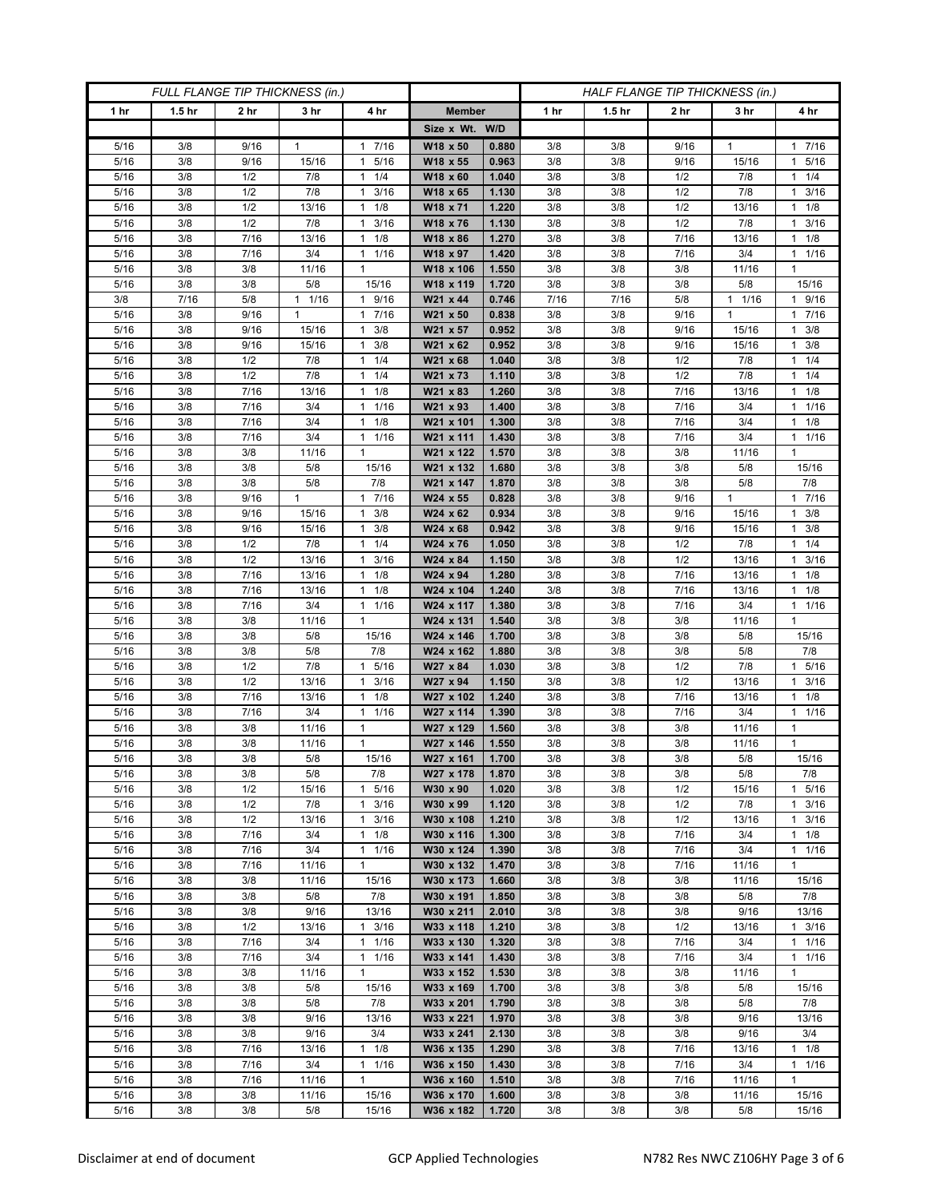| FULL FLANGE TIP THICKNESS (in.) |                   |                 |                 |                                              |                        |                |            |                   | HALF FLANGE TIP THICKNESS (in.) |                 |                         |  |  |
|---------------------------------|-------------------|-----------------|-----------------|----------------------------------------------|------------------------|----------------|------------|-------------------|---------------------------------|-----------------|-------------------------|--|--|
| 1 hr                            | 1.5 <sub>hr</sub> | 2 <sub>hr</sub> | 3 <sub>hr</sub> | 4 hr                                         | <b>Member</b>          |                | 1 hr       | 1.5 <sub>hr</sub> | 2 <sub>hr</sub>                 | 3 hr            | 4 hr                    |  |  |
|                                 |                   |                 |                 |                                              | Size x Wt. W/D         |                |            |                   |                                 |                 |                         |  |  |
| 5/16                            | 3/8               | 9/16            | 1               | 7/16<br>$\mathbf{1}$                         | W18 x 50               | 0.880          | 3/8        | 3/8               | 9/16                            | 1               | 17/16                   |  |  |
| 5/16                            | 3/8               | 9/16            | 15/16           | 5/16<br>$\mathbf{1}$                         | W18 x 55               | 0.963          | 3/8        | 3/8               | 9/16                            | 15/16           | 5/16<br>$\mathbf{1}$    |  |  |
| 5/16                            | 3/8               | 1/2             | 7/8             | 1/4<br>$\mathbf{1}$                          | W18 x 60               | 1.040          | 3/8        | 3/8               | 1/2                             | 7/8             | $1 \t1/4$               |  |  |
| 5/16                            | 3/8               | 1/2             | 7/8             | 3/16<br>1                                    | W18 x 65               | 1.130          | 3/8        | 3/8               | 1/2                             | 7/8             | 3/16<br>1               |  |  |
| 5/16                            | 3/8               | 1/2             | 13/16           | $\mathbf{1}$<br>1/8                          | W18 x 71               | 1.220          | 3/8        | 3/8               | 1/2                             | 13/16           | $1 \t1/8$               |  |  |
| 5/16                            | 3/8               | 1/2             | 7/8             | 3/16<br>$\mathbf{1}$                         | W18 x 76               | 1.130          | 3/8        | 3/8               | 1/2                             | 7/8             | $1 \t3/16$              |  |  |
| 5/16                            | 3/8               | 7/16            | 13/16           | 1/8<br>1                                     | W18 x 86               | 1.270          | 3/8        | 3/8               | 7/16                            | 13/16           | $1 \t1/8$               |  |  |
| 5/16                            | 3/8               | 7/16            | 3/4             | 1/16<br>$\mathbf{1}$                         | W18 x 97               | 1.420          | 3/8        | 3/8               | 7/16                            | 3/4             | 11/16                   |  |  |
| 5/16                            | 3/8               | 3/8             | 11/16           | $\mathbf{1}$                                 | W18 x 106              | 1.550          | 3/8        | 3/8               | 3/8                             | 11/16           | $\mathbf{1}$            |  |  |
| $\frac{1}{5}{16}$               | 3/8               | 3/8             | 5/8             | 15/16                                        | W18 x 119              | 1.720          | 3/8        | 3/8               | 3/8                             | 5/8             | 15/16                   |  |  |
| 3/8                             | 7/16<br>3/8       | 5/8<br>9/16     | 11/16<br>1      | 9/16<br>$\mathbf{1}$<br>7/16<br>$\mathbf{1}$ | W21 x 44               | 0.746<br>0.838 | 7/16       | 7/16              | 5/8<br>9/16                     | $1 \t1/16$<br>1 | 1 9/16<br>17/16         |  |  |
| 5/16<br>5/16                    | 3/8               | 9/16            | 15/16           | 3/8<br>$\mathbf{1}$                          | W21 x 50<br>W21 x 57   | 0.952          | 3/8<br>3/8 | 3/8<br>3/8        | 9/16                            | 15/16           | 3/8<br>1.               |  |  |
| 5/16                            | 3/8               | 9/16            | 15/16           | 3/8<br>$\mathbf{1}$                          | W21 x 62               | 0.952          | 3/8        | 3/8               | 9/16                            | 15/16           | $1 \t3/8$               |  |  |
| 5/16                            | 3/8               | 1/2             | 7/8             | 1/4<br>1                                     | W21 x 68               | 1.040          | 3/8        | 3/8               | 1/2                             | 7/8             | $1 \t1/4$               |  |  |
| 5/16                            | 3/8               | 1/2             | 7/8             | 1/4<br>$\mathbf{1}$                          | W21 x 73               | 1.110          | 3/8        | 3/8               | 1/2                             | 7/8             | $1 \t1/4$               |  |  |
| 5/16                            | 3/8               | 7/16            | 13/16           | 1/8<br>$\mathbf{1}$                          | W21 x 83               | 1.260          | 3/8        | 3/8               | 7/16                            | 13/16           | $1 \t1/8$               |  |  |
| 5/16                            | 3/8               | 7/16            | 3/4             | 1/16<br>$\mathbf{1}$                         | W21 x 93               | 1.400          | 3/8        | 3/8               | 7/16                            | 3/4             | $1 \t1/16$              |  |  |
| 5/16                            | 3/8               | 7/16            | 3/4             | 1/8<br>1                                     | W21 x 101              | 1.300          | 3/8        | 3/8               | 7/16                            | 3/4             | $1 \t1/8$               |  |  |
| 5/16                            | 3/8               | 7/16            | 3/4             | 1/16<br>$\mathbf{1}$                         | W21 x 111              | 1.430          | 3/8        | 3/8               | 7/16                            | 3/4             | 11/16                   |  |  |
| 5/16                            | 3/8               | 3/8             | 11/16           | $\mathbf{1}$                                 | W21 x 122              | 1.570          | 3/8        | 3/8               | 3/8                             | 11/16           | $\mathbf{1}$            |  |  |
| 5/16                            | 3/8               | 3/8             | 5/8             | 15/16                                        | W21 x 132              | 1.680          | 3/8        | 3/8               | 3/8                             | 5/8             | 15/16                   |  |  |
| 5/16                            | 3/8               | 3/8             | 5/8             | 7/8                                          | W21 x 147              | 1.870          | 3/8        | 3/8               | 3/8                             | 5/8             | 7/8                     |  |  |
| 5/16                            | 3/8               | 9/16            | $\mathbf{1}$    | 7/16<br>$\mathbf{1}$                         | W24 x 55               | 0.828          | 3/8        | 3/8               | 9/16                            | $\mathbf{1}$    | 17/16                   |  |  |
| 5/16                            | 3/8               | 9/16            | 15/16           | 3/8<br>1                                     | W24 x 62               | 0.934          | 3/8        | 3/8               | 9/16                            | 15/16           | $1 \t3/8$               |  |  |
| 5/16                            | 3/8               | 9/16            | 15/16           | 3/8<br>1                                     | W24 x 68               | 0.942          | 3/8        | 3/8               | 9/16                            | 15/16           | 3/8<br>$\mathbf{1}$     |  |  |
| 5/16                            | 3/8               | 1/2             | 7/8             | 1/4<br>$\mathbf{1}$                          | W24 x 76               | 1.050          | 3/8        | 3/8               | 1/2                             | 7/8             | $1 \t1/4$               |  |  |
| 5/16<br>5/16                    | 3/8<br>3/8        | 1/2<br>7/16     | 13/16<br>13/16  | 3/16<br>$\mathbf{1}$<br>1/8<br>1             | W24 x 84<br>W24 x 94   | 1.150<br>1.280 | 3/8<br>3/8 | 3/8<br>3/8        | 1/2<br>7/16                     | 13/16<br>13/16  | $1 \t3/16$<br>$1 \t1/8$ |  |  |
| 5/16                            | 3/8               | 7/16            | 13/16           | $\mathbf{1}$<br>1/8                          | W24 x 104              | 1.240          | 3/8        | 3/8               | 7/16                            | 13/16           | $1 \t1/8$               |  |  |
| 5/16                            | 3/8               | 7/16            | 3/4             | 1/16<br>$\mathbf{1}$                         | W24 x 117              | 1.380          | 3/8        | 3/8               | 7/16                            | 3/4             | 11/16                   |  |  |
| 5/16                            | 3/8               | 3/8             | 11/16           | 1                                            | W24 x 131              | 1.540          | 3/8        | 3/8               | 3/8                             | 11/16           | 1                       |  |  |
| 5/16                            | 3/8               | 3/8             | 5/8             | 15/16                                        | W24 x 146              | 1.700          | 3/8        | 3/8               | 3/8                             | 5/8             | 15/16                   |  |  |
| 5/16                            | 3/8               | 3/8             | 5/8             | 7/8                                          | W24 x 162              | 1.880          | 3/8        | 3/8               | 3/8                             | 5/8             | 7/8                     |  |  |
| 5/16                            | 3/8               | 1/2             | 7/8             | 5/16<br>$\mathbf{1}$                         | W27 x 84               | 1.030          | 3/8        | 3/8               | 1/2                             | 7/8             | 1 5/16                  |  |  |
| 5/16                            | 3/8               | 1/2             | 13/16           | 3/16<br>$\mathbf{1}$                         | W27 x 94               | 1.150          | 3/8        | 3/8               | 1/2                             | 13/16           | $1 \t3/16$              |  |  |
| 5/16                            | 3/8               | 7/16            | 13/16           | 1/8<br>1                                     | W27 x 102              | 1.240          | 3/8        | 3/8               | 7/16                            | 13/16           | $1 \t1/8$               |  |  |
| 5/16                            | 3/8               | 7/16            | 3/4             | 1/16<br>$\mathbf{1}$                         | W27 x 114              | 1.390          | 3/8        | 3/8               | 7/16                            | 3/4             | 1/16<br>1               |  |  |
| 5/16                            | 3/8               | 3/8             | 11/16           | $\mathbf{1}$                                 | W27 x 129              | 1.560          | 3/8        | 3/8               | 3/8                             | 11/16           | $\mathbf{1}$            |  |  |
| 5/16                            | 3/8               | 3/8             | 11/16           | $\mathbf{1}$                                 | W27 x 146              | 1.550          | 3/8        | 3/8               | 3/8                             | 11/16           | $\mathbf{1}$            |  |  |
| 5/16                            | 3/8               | 3/8             | 5/8             | 15/16                                        | W27 x 161              | 1.700          | 3/8        | 3/8               | 3/8                             | 5/8             | 15/16                   |  |  |
| 5/16                            | 3/8               | 3/8             | 5/8             | 7/8<br>$\mathbf{1}$                          | W27 x 178<br>W30 x 90  | 1.870<br>1.020 | 3/8        | 3/8               | 3/8                             | 5/8             | 7/8                     |  |  |
| 5/16<br>5/16                    | 3/8<br>3/8        | 1/2<br>1/2      | 15/16<br>7/8    | 5/16<br>3/16<br>$\mathbf{1}$                 | W30 x 99               | 1.120          | 3/8<br>3/8 | 3/8<br>3/8        | 1/2<br>1/2                      | 15/16<br>7/8    | 1 5/16<br>$1 \t3/16$    |  |  |
| 5/16                            | 3/8               | 1/2             | 13/16           | 3/16<br>$\mathbf{1}$                         | W30 x 108              | 1.210          | 3/8        | 3/8               | 1/2                             | 13/16           | 3/16<br>$\mathbf{1}$    |  |  |
| 5/16                            | 3/8               | 7/16            | 3/4             | 1/8<br>$\mathbf{1}$                          | W30 x 116              | 1.300          | 3/8        | 3/8               | 7/16                            | 3/4             | $1 \t1/8$               |  |  |
| 5/16                            | 3/8               | 7/16            | 3/4             | 1/16<br>1                                    | W30 x 124              | 1.390          | 3/8        | 3/8               | 7/16                            | 3/4             | 11/16                   |  |  |
| 5/16                            | 3/8               | 7/16            | 11/16           | $\mathbf{1}$                                 | W30 x 132              | 1.470          | 3/8        | 3/8               | 7/16                            | 11/16           | $\mathbf{1}$            |  |  |
| 5/16                            | 3/8               | 3/8             | 11/16           | 15/16                                        | W30 x 173              | 1.660          | 3/8        | 3/8               | 3/8                             | 11/16           | 15/16                   |  |  |
| 5/16                            | 3/8               | 3/8             | 5/8             | 7/8                                          | W30 x 191              | 1.850          | 3/8        | 3/8               | 3/8                             | 5/8             | 7/8                     |  |  |
| 5/16                            | 3/8               | 3/8             | 9/16            | 13/16                                        | W30 x 211              | 2.010          | 3/8        | 3/8               | 3/8                             | 9/16            | 13/16                   |  |  |
| 5/16                            | 3/8               | 1/2             | 13/16           | 3/16<br>$\mathbf{1}$                         | W33 x 118              | 1.210          | 3/8        | 3/8               | 1/2                             | 13/16           | $1 \t3/16$              |  |  |
| 5/16                            | 3/8               | 7/16            | 3/4             | 1/16<br>$\mathbf{1}$                         | W33 x 130              | 1.320          | 3/8        | 3/8               | 7/16                            | 3/4             | 11/16                   |  |  |
| 5/16                            | 3/8               | 7/16            | 3/4             | 1/16<br>$\mathbf{1}$                         | W33 x 141              | 1.430          | 3/8        | 3/8               | 7/16                            | 3/4             | $1 \t1/16$              |  |  |
| 5/16                            | 3/8               | 3/8             | 11/16           | $\mathbf{1}$                                 | W33 x 152              | 1.530          | 3/8        | 3/8               | 3/8                             | 11/16           | $\mathbf{1}$            |  |  |
| 5/16                            | 3/8               | 3/8             | 5/8             | 15/16                                        | W33 x 169              | 1.700          | 3/8        | 3/8               | 3/8                             | 5/8             | 15/16                   |  |  |
| 5/16                            | 3/8               | 3/8             | 5/8             | 7/8                                          | W33 x 201              | 1.790          | 3/8        | 3/8               | 3/8                             | 5/8             | 7/8                     |  |  |
| 5/16<br>5/16                    | 3/8<br>3/8        | 3/8<br>3/8      | 9/16<br>9/16    | 13/16<br>3/4                                 | W33 x 221<br>W33 x 241 | 1.970<br>2.130 | 3/8<br>3/8 | 3/8<br>3/8        | 3/8<br>3/8                      | 9/16<br>9/16    | 13/16<br>3/4            |  |  |
| 5/16                            | 3/8               | 7/16            | 13/16           | $1 \t1/8$                                    | W36 x 135              | 1.290          | 3/8        | 3/8               | 7/16                            | 13/16           | $1 \t1/8$               |  |  |
| 5/16                            | 3/8               | 7/16            | 3/4             | 1/16<br>$\mathbf{1}$                         | W36 x 150              | 1.430          | 3/8        | 3/8               | 7/16                            | 3/4             | $1 \t1/16$              |  |  |
| 5/16                            | 3/8               | 7/16            | 11/16           | $\mathbf{1}$                                 | W36 x 160              | 1.510          | 3/8        | 3/8               | 7/16                            | 11/16           | 1                       |  |  |
| 5/16                            | 3/8               | 3/8             | 11/16           | 15/16                                        | W36 x 170              | 1.600          | 3/8        | 3/8               | 3/8                             | 11/16           | 15/16                   |  |  |
| 5/16                            | 3/8               | 3/8             | 5/8             | 15/16                                        | W36 x 182              | 1.720          | 3/8        | 3/8               | 3/8                             | 5/8             | 15/16                   |  |  |
|                                 |                   |                 |                 |                                              |                        |                |            |                   |                                 |                 |                         |  |  |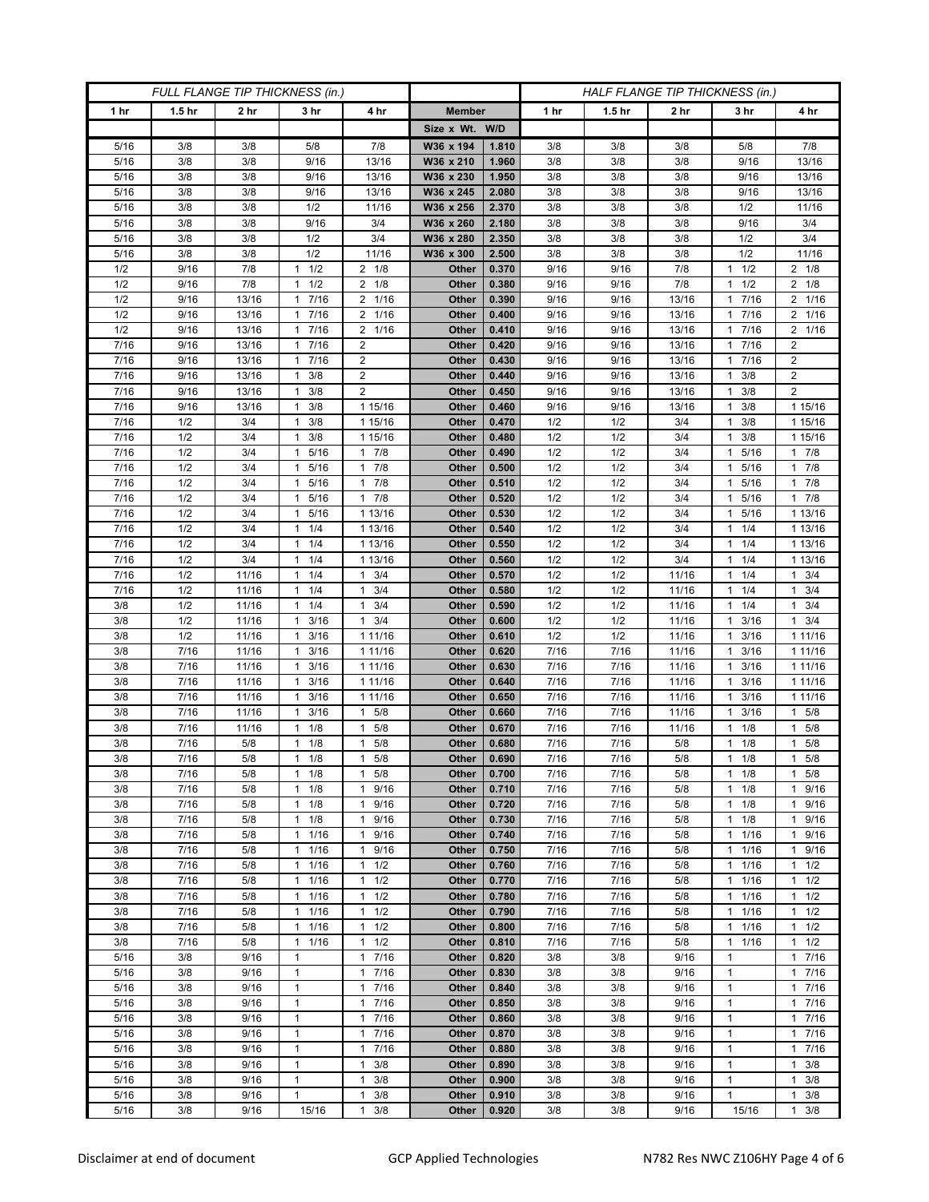| FULL FLANGE TIP THICKNESS (in.) |                   |                 |                                  |                                              | HALF FLANGE TIP THICKNESS (in.) |                |              |                   |                 |                              |                      |
|---------------------------------|-------------------|-----------------|----------------------------------|----------------------------------------------|---------------------------------|----------------|--------------|-------------------|-----------------|------------------------------|----------------------|
| 1 hr                            | 1.5 <sub>hr</sub> | 2 <sub>hr</sub> | 3 <sub>hr</sub>                  | 4 hr                                         | <b>Member</b>                   |                | 1 hr         | 1.5 <sub>hr</sub> | 2 <sub>hr</sub> | 3 hr                         | 4 hr                 |
|                                 |                   |                 |                                  |                                              | Size x Wt. W/D                  |                |              |                   |                 |                              |                      |
| 5/16                            | 3/8               | 3/8             | 5/8                              | 7/8                                          | W36 x 194                       | 1.810          | 3/8          | 3/8               | 3/8             | 5/8                          | 7/8                  |
| 5/16                            | 3/8               | 3/8             | 9/16                             | 13/16                                        | W36 x 210                       | 1.960          | 3/8          | 3/8               | 3/8             | 9/16                         | 13/16                |
| 5/16                            | 3/8               | 3/8             | 9/16                             | 13/16                                        | W36 x 230                       | 1.950          | 3/8          | 3/8               | 3/8             | 9/16                         | 13/16                |
| 5/16                            | 3/8               | 3/8             | 9/16                             | 13/16                                        | W36 x 245                       | 2.080          | 3/8          | 3/8               | 3/8             | 9/16                         | 13/16                |
| 5/16                            | 3/8               | 3/8             | 1/2                              | 11/16                                        | W36 x 256                       | 2.370          | 3/8          | 3/8               | 3/8             | 1/2                          | 11/16                |
| 5/16                            | 3/8<br>3/8        | 3/8<br>3/8      | 9/16<br>1/2                      | 3/4<br>3/4                                   | W36 x 260                       | 2.180<br>2.350 | 3/8<br>3/8   | 3/8<br>3/8        | 3/8<br>3/8      | 9/16<br>1/2                  | 3/4<br>3/4           |
| 5/16<br>5/16                    | 3/8               | 3/8             | 1/2                              | 11/16                                        | W36 x 280<br>W36 x 300          | 2.500          | 3/8          | 3/8               | 3/8             | 1/2                          | 11/16                |
| 1/2                             | 9/16              | 7/8             | 1/2<br>1                         | $2 \t1/8$                                    | Other                           | 0.370          | 9/16         | 9/16              | 7/8             | 1/2<br>1                     | $2 \t1/8$            |
| 1/2                             | 9/16              | 7/8             | 1/2<br>1                         | $2 \t1/8$                                    | Other                           | 0.380          | 9/16         | 9/16              | 7/8             | 1/2<br>1                     | $2 \t1/8$            |
| 1/2                             | 9/16              | 13/16           | 7/16<br>1                        | 2<br>1/16                                    | Other                           | 0.390          | 9/16         | 9/16              | 13/16           | 7/16<br>1                    | 2 1/16               |
| 1/2                             | 9/16              | 13/16           | 7/16<br>$\mathbf{1}$             | 1/16<br>2                                    | Other                           | 0.400          | 9/16         | 9/16              | 13/16           | 7/16                         | 2 1/16               |
| 1/2                             | 9/16              | 13/16           | 7/16<br>1                        | 1/16<br>2                                    | Other                           | 0.410          | 9/16         | 9/16              | 13/16           | 7/16<br>1                    | 2 1/16               |
| 7/16                            | 9/16              | 13/16           | 7/16<br>$\mathbf{1}$             | 2                                            | Other                           | 0.420          | 9/16         | 9/16              | 13/16           | 7/16<br>1                    | $\overline{c}$       |
| 7/16                            | 9/16              | 13/16           | 7/16<br>$\mathbf{1}$             | $\overline{2}$                               | Other                           | 0.430          | 9/16         | 9/16              | 13/16           | 7/16                         | $\overline{2}$       |
| $\frac{1}{7}{16}$               | 9/16              | 13/16           | 3/8<br>1                         | $\overline{2}$                               | Other                           | 0.440          | 9/16         | 9/16              | 13/16           | 3/8<br>1                     | $\overline{2}$       |
| 7/16                            | 9/16              | 13/16           | 3/8<br>$\mathbf{1}$              | $\overline{2}$                               | Other                           | 0.450          | 9/16         | 9/16              | 13/16           | 3/8<br>1                     | $\overline{2}$       |
| 7/16                            | 9/16              | 13/16           | $1 \t3/8$                        | 1 15/16                                      | Other                           | 0.460          | 9/16         | 9/16              | 13/16           | 3/8<br>1                     | 1 15/16              |
| 7/16<br>7/16                    | 1/2<br>1/2        | 3/4<br>3/4      | 3/8<br>1<br>3/8<br>1             | 1 15/16<br>1 15/16                           | Other<br>Other                  | 0.470<br>0.480 | 1/2<br>1/2   | 1/2<br>1/2        | 3/4<br>3/4      | 3/8<br>1<br>3/8<br>1         | 1 15/16<br>1 15/16   |
| 7/16                            | 1/2               | 3/4             | 5/16<br>$\mathbf{1}$             | 7/8<br>$\mathbf{1}$                          | Other                           | 0.490          | 1/2          | 1/2               | 3/4             | 5/16<br>1                    | 17/8                 |
| 7/16                            | 1/2               | 3/4             | 1 5/16                           | 7/8<br>1                                     | Other                           | 0.500          | 1/2          | 1/2               | 3/4             | 5/16<br>1                    | 17/8                 |
| 7/16                            | 1/2               | 3/4             | 5/16<br>1                        | 7/8<br>$\mathbf{1}$                          | Other                           | 0.510          | 1/2          | 1/2               | 3/4             | 5/16                         | 17/8                 |
| 7/16                            | 1/2               | 3/4             | 5/16<br>$\mathbf{1}$             | 7/8<br>$\mathbf{1}$                          | <b>Other</b>                    | 0.520          | 1/2          | 1/2               | 3/4             | 5/16<br>1                    | $1 \t7/8$            |
| 7/16                            | 1/2               | 3/4             | 1 5/16                           | 1 13/16                                      | Other                           | 0.530          | 1/2          | 1/2               | 3/4             | 5/16<br>1.                   | 1 13/16              |
| 7/16                            | 1/2               | 3/4             | 1/4<br>1                         | 1 13/16                                      | Other                           | 0.540          | 1/2          | 1/2               | 3/4             | 1/4                          | 1 13/16              |
| 7/16                            | 1/2               | 3/4             | 1/4<br>$\mathbf{1}$              | 1 13/16                                      | <b>Other</b>                    | 0.550          | 1/2          | 1/2               | 3/4             | 1/4<br>1                     | 1 13/16              |
| 7/16                            | 1/2               | 3/4             | $1 \t1/4$                        | 1 13/16                                      | Other                           | 0.560          | 1/2          | 1/2               | 3/4             | $1 \t1/4$                    | 1 13/16              |
| 7/16                            | 1/2               | 11/16           | 1/4<br>1                         | 3/4<br>1                                     | Other                           | 0.570          | 1/2          | 1/2               | 11/16           | 1/4<br>1                     | $1 \t3/4$            |
| 7/16                            | 1/2               | 11/16           | 1/4<br>$\mathbf{1}$              | $\mathbf{1}$<br>3/4                          | Other                           | 0.580          | 1/2          | 1/2               | 11/16           | 1/4<br>1                     | $1 \t3/4$            |
| 3/8                             | 1/2               | 11/16           | $1 \t1/4$                        | 3/4<br>$\mathbf{1}$                          | Other                           | 0.590          | 1/2          | 1/2               | 11/16           | 1/4<br>1.                    | $1 \t3/4$            |
| 3/8<br>3/8                      | 1/2<br>1/2        | 11/16<br>11/16  | 3/16<br>1<br>3/16<br>1           | 3/4<br>1<br>1 1 1 / 16                       | Other<br>Other                  | 0.600<br>0.610 | 1/2<br>1/2   | 1/2<br>1/2        | 11/16<br>11/16  | 3/16<br>1<br>3/16<br>1       | $1 \t3/4$<br>1 11/16 |
| 3/8                             | 7/16              | 11/16           | 3/16<br>1                        | 1 11/16                                      | Other                           | 0.620          | 7/16         | 7/16              | 11/16           | 3/16                         | 1 1 1 / 16           |
| 3/8                             | 7/16              | 11/16           | 3/16<br>1                        | 1 11/16                                      | Other                           | 0.630          | 7/16         | 7/16              | 11/16           | 3/16<br>1                    | 1 1 1 / 16           |
| 3/8                             | 7/16              | 11/16           | 3/16<br>$\mathbf{1}$             | 1 11/16                                      | Other                           | 0.640          | 7/16         | 7/16              | 11/16           | 3/16<br>1                    | 1 1 1/16             |
| 3/8                             | 7/16              | 11/16           | 3/16<br>1                        | 1 11/16                                      | Other                           | 0.650          | 7/16         | 7/16              | 11/16           | 3/16                         | 1 1 1 / 16           |
| 3/8                             | 7/16              | 11/16           | 3/16<br>1                        | 5/8<br>$\mathbf{1}$                          | Other                           | 0.660          | 7/16         | 7/16              | 11/16           | 3/16                         | 5/8<br>$\mathbf{1}$  |
| 3/8                             | 7/16              | 11/16           | 1/8<br>$\mathbf{1}$              | 5/8<br>$\mathbf{1}$                          | Other                           | 0.670          | 7/16         | 7/16              | 11/16           | 1/8<br>1                     | 1 5/8                |
| 3/8                             | 7/16              | 5/8             | 1/8<br>1                         | 5/8<br>1                                     | Other                           | 0.680          | 7/16         | 7/16              | 5/8             | 1/8                          | 5/8<br>$\mathbf{1}$  |
| 3/8                             | $7/16$            | 5/8             | 1/8<br>$\mathbf{1}$              | 5/8<br>$\mathbf{1}$                          | Other                           | 0.690          | 7/16         | 7/16              | 5/8             | 1/8<br>$\mathbf{1}$          | 5/8<br>$\mathbf{1}$  |
| 3/8                             | 7/16              | 5/8             | $1 \t1/8$                        | 5/8<br>$\mathbf{1}$                          | Other                           | 0.700          | 7/16         | 7/16              | 5/8             | $1 \t1/8$                    | $1 \t5/8$            |
| 3/8                             | 7/16<br>7/16      | 5/8             | $1 \t1/8$                        | 9/16<br>$\mathbf{1}$<br>9/16                 | Other                           | 0.710<br>0.720 | 7/16<br>7/16 | 7/16              | 5/8             | 1/8<br>$\mathbf{1}$<br>1/8   | 1 9/16               |
| 3/8<br>3/8                      | 7/16              | 5/8<br>5/8      | $1 \t1/8$<br>1/8<br>$\mathbf{1}$ | 1<br>9/16<br>$\mathbf{1}$                    | Other<br>Other                  | 0.730          | 7/16         | 7/16<br>7/16      | 5/8<br>5/8      | $\mathbf{1}$<br>1/8<br>1     | 1 9/16<br>1 9/16     |
| 3/8                             | 7/16              | 5/8             | 11/16                            | 9/16<br>$\mathbf{1}$                         | Other                           | 0.740          | 7/16         | 7/16              | 5/8             | 1/16<br>1                    | 1 9/16               |
| 3/8                             | 7/16              | 5/8             | $1 \t1/16$                       | 9/16<br>1                                    | Other                           | 0.750          | 7/16         | 7/16              | 5/8             | 1 1/16                       | 1 9/16               |
| 3/8                             | 7/16              | 5/8             | 1/16<br>$\mathbf{1}$             | 1/2<br>1                                     | Other                           | 0.760          | 7/16         | 7/16              | 5/8             | 1/16<br>1                    | $1 \t1/2$            |
| 3/8                             | 7/16              | 5/8             | 11/16                            | 1/2<br>$\mathbf{1}$                          | Other                           | 0.770          | 7/16         | 7/16              | 5/8             | 1/16<br>$\mathbf{1}$         | $1 \t1/2$            |
| 3/8                             | 7/16              | 5/8             | $1 \t1/16$                       | 1/2<br>1                                     | Other                           | 0.780          | 7/16         | 7/16              | 5/8             | 1 1/16                       | $1 \t1/2$            |
| 3/8                             | 7/16              | 5/8             | 1/16<br>$\mathbf{1}$             | 1/2<br>$\mathbf{1}$                          | Other                           | 0.790          | 7/16         | 7/16              | 5/8             | 1/16<br>1                    | $1 \t1/2$            |
| 3/8                             | 7/16              | 5/8             | 11/16                            | $\mathbf{1}$<br>1/2                          | Other                           | 0.800          | 7/16         | 7/16              | 5/8             | 1/16<br>$\mathbf{1}$         | $1 \t1/2$            |
| 3/8                             | 7/16              | 5/8             | 11/16                            | 1/2<br>$\mathbf{1}$                          | Other                           | 0.810          | 7/16         | 7/16              | 5/8             | 11/16                        | $1 \t1/2$            |
| 5/16                            | 3/8               | 9/16            | 1                                | 7/16<br>$\mathbf{1}$                         | Other                           | 0.820          | 3/8          | 3/8               | 9/16            | 1                            | 17/16                |
| 5/16<br>5/16                    | 3/8<br>3/8        | 9/16<br>9/16    | $\mathbf{1}$<br>$\mathbf{1}$     | $\mathbf{1}$<br>7/16<br>7/16<br>$\mathbf{1}$ | Other<br>Other                  | 0.830<br>0.840 | 3/8<br>3/8   | 3/8<br>3/8        | 9/16<br>9/16    | $\mathbf{1}$<br>$\mathbf{1}$ | 17/16<br>17/16       |
| 5/16                            | 3/8               | 9/16            | $\mathbf{1}$                     | 7/16<br>$\mathbf{1}$                         | Other                           | 0.850          | 3/8          | 3/8               | 9/16            | $\mathbf{1}$                 | 17/16                |
| 5/16                            | 3/8               | 9/16            | $\mathbf{1}$                     | 7/16<br>1                                    | Other                           | 0.860          | 3/8          | 3/8               | 9/16            | $\mathbf{1}$                 | 17/16                |
| 5/16                            | 3/8               | 9/16            | $\mathbf{1}$                     | 7/16<br>$\mathbf{1}$                         | Other                           | 0.870          | 3/8          | 3/8               | 9/16            | 1                            | 17/16                |
| 5/16                            | 3/8               | 9/16            | $\mathbf{1}$                     | 7/16<br>$\mathbf{1}$                         | Other                           | 0.880          | 3/8          | 3/8               | 9/16            | $\mathbf{1}$                 | 17/16                |
| 5/16                            | 3/8               | 9/16            | $\mathbf{1}$                     | 3/8<br>$\mathbf{1}$                          | Other                           | 0.890          | 3/8          | 3/8               | 9/16            | $\mathbf{1}$                 | $1 \t3/8$            |
| 5/16                            | 3/8               | 9/16            | $\mathbf{1}$                     | 3/8<br>1                                     | Other                           | 0.900          | 3/8          | 3/8               | 9/16            | $\mathbf{1}$                 | $\mathbf{1}$<br>3/8  |
| 5/16                            | 3/8               | 9/16            | $\mathbf{1}$                     | 3/8<br>1                                     | Other                           | 0.910          | 3/8          | 3/8               | 9/16            | $\mathbf{1}$                 | 3/8<br>$\mathbf{1}$  |
| 5/16                            | 3/8               | 9/16            | 15/16                            | 3/8<br>$\mathbf{1}$                          | Other                           | 0.920          | 3/8          | 3/8               | 9/16            | 15/16                        | $1 \t3/8$            |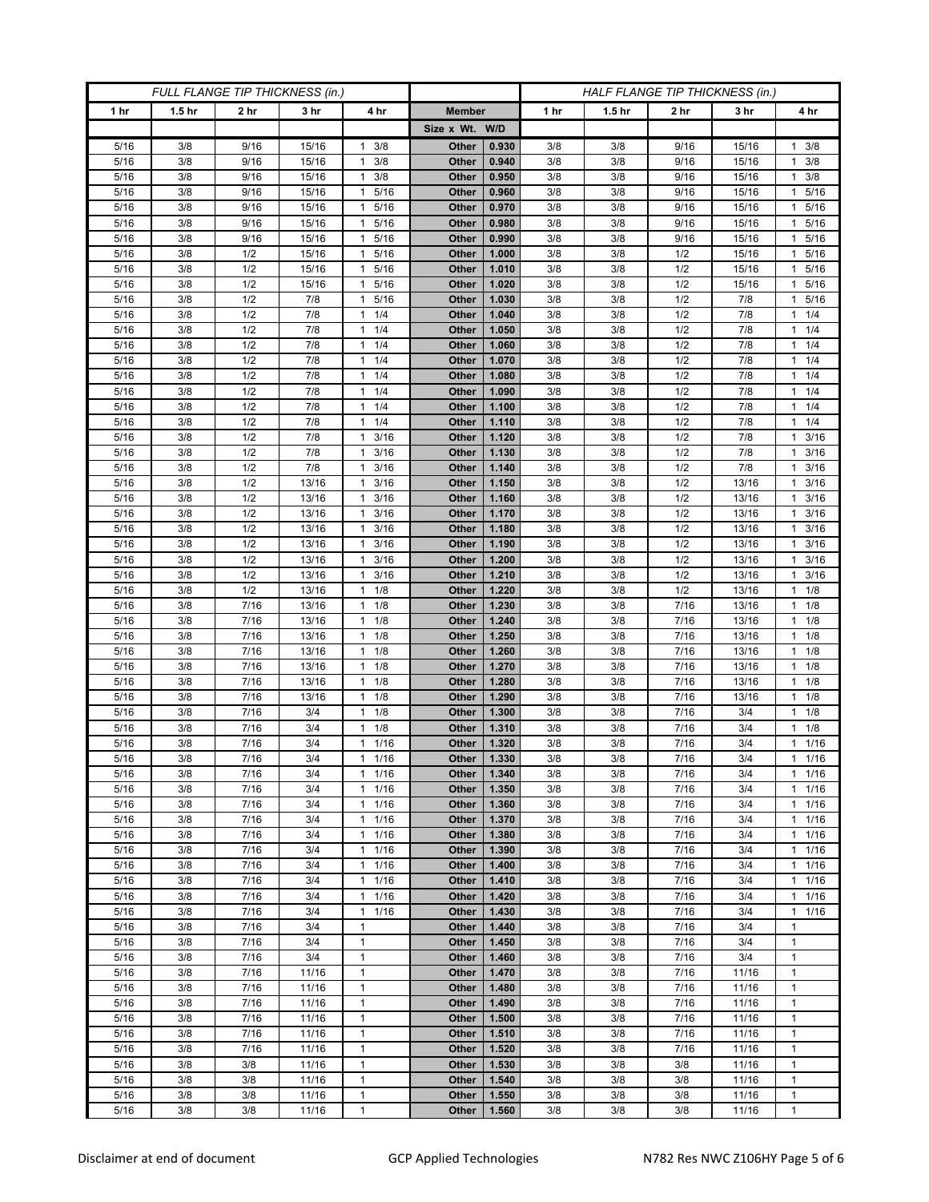| FULL FLANGE TIP THICKNESS (in.) |                   |                 |                 |                                            | HALF FLANGE TIP THICKNESS (in.) |                |            |                   |                 |                 |                          |
|---------------------------------|-------------------|-----------------|-----------------|--------------------------------------------|---------------------------------|----------------|------------|-------------------|-----------------|-----------------|--------------------------|
| 1 hr                            | 1.5 <sub>hr</sub> | 2 <sub>hr</sub> | 3 <sub>hr</sub> | 4 hr                                       | <b>Member</b>                   |                | 1 hr       | 1.5 <sub>hr</sub> | 2 <sub>hr</sub> | 3 <sub>hr</sub> | 4 hr                     |
|                                 |                   |                 |                 |                                            | Size x Wt. W/D                  |                |            |                   |                 |                 |                          |
| 5/16                            | 3/8               | 9/16            | 15/16           | 3/8<br>$\mathbf{1}$                        | Other                           | 0.930          | 3/8        | 3/8               | 9/16            | 15/16           | 3/8<br>1                 |
| 5/16                            | 3/8               | 9/16            | 15/16           | 3/8<br>$\mathbf{1}$                        | Other                           | 0.940          | 3/8        | 3/8               | 9/16            | 15/16           | $1 \t3/8$                |
| 5/16                            | 3/8               | 9/16            | 15/16           | 3/8<br>1                                   | Other                           | 0.950          | 3/8        | 3/8               | 9/16            | 15/16           | $1 \t3/8$                |
| 5/16                            | 3/8               | 9/16            | 15/16           | $\mathbf{1}$<br>5/16                       | Other                           | 0.960          | 3/8        | 3/8               | 9/16            | 15/16           | 5/16<br>1                |
| 5/16                            | 3/8               | 9/16            | 15/16           | 5/16<br>$\mathbf{1}$                       | Other                           | 0.970          | 3/8        | 3/8               | 9/16            | 15/16           | 5/16<br>1                |
| 5/16                            | 3/8               | 9/16            | 15/16           | 5/16<br>$\mathbf{1}$                       | Other                           | 0.980          | 3/8        | 3/8               | 9/16            | 15/16           | 1 5/16                   |
| 5/16                            | 3/8               | 9/16            | 15/16           | 5/16<br>$\mathbf{1}$                       | Other                           | 0.990          | 3/8        | 3/8               | 9/16            | 15/16           | 5/16<br>1                |
| 5/16                            | 3/8               | 1/2             | 15/16           | 5/16<br>$\mathbf{1}$                       | Other                           | 1.000          | 3/8        | 3/8               | 1/2             | 15/16           | 5/16<br>$\mathbf{1}$     |
| 5/16                            | 3/8               | 1/2             | 15/16           | 5/16<br>$\mathbf{1}$                       | Other                           | 1.010          | 3/8        | 3/8               | 1/2             | 15/16           | 1 5/16                   |
| 5/16                            | 3/8               | 1/2             | 15/16           | 5/16<br>$\mathbf{1}$                       | Other                           | 1.020          | 3/8        | 3/8               | 1/2             | 15/16           | 5/16<br>$\mathbf{1}$     |
| 5/16                            | 3/8               | 1/2             | 7/8             | 5/16<br>$\mathbf{1}$                       | Other                           | 1.030          | 3/8        | 3/8               | 1/2             | 7/8             | 1 5/16                   |
| 5/16                            | 3/8               | 1/2             | 7/8             | 1/4<br>$\mathbf{1}$                        | Other                           | 1.040          | 3/8        | 3/8               | 1/2             | 7/8             | $1 \t1/4$                |
| 5/16<br>5/16                    | 3/8<br>3/8        | 1/2<br>1/2      | 7/8<br>7/8      | 1/4<br>$\mathbf{1}$<br>1/4<br>$\mathbf{1}$ | Other<br>Other                  | 1.050<br>1.060 | 3/8<br>3/8 | 3/8<br>3/8        | 1/2<br>1/2      | 7/8<br>7/8      | $1 \t1/4$<br>$1 \t1/4$   |
| 5/16                            | 3/8               | 1/2             | 7/8             | 1/4<br>$\mathbf{1}$                        | Other                           | 1.070          | 3/8        | 3/8               | 1/2             | 7/8             | $1 \t1/4$                |
| 5/16                            | 3/8               | 1/2             | 7/8             | 1/4<br>1                                   | Other                           | 1.080          | 3/8        | 3/8               | 1/2             | 7/8             | $1 \t1/4$                |
| 5/16                            | 3/8               | 1/2             | 7/8             | 1/4<br>1                                   | Other                           | 1.090          | 3/8        | 3/8               | 1/2             | 7/8             | $1 \t1/4$                |
| 5/16                            | 3/8               | 1/2             | 7/8             | 1/4<br>1                                   | Other                           | 1.100          | 3/8        | 3/8               | 1/2             | 7/8             | $1 \t1/4$                |
| 5/16                            | 3/8               | 1/2             | 7/8             | 1/4<br>$\mathbf{1}$                        | Other                           | 1.110          | 3/8        | 3/8               | 1/2             | 7/8             | $1 \t1/4$                |
| 5/16                            | 3/8               | 1/2             | 7/8             | 3/16<br>$\mathbf{1}$                       | Other                           | 1.120          | 3/8        | 3/8               | 1/2             | 7/8             | $1 \t3/16$               |
| 5/16                            | 3/8               | 1/2             | 7/8             | 3/16<br>1                                  | Other                           | 1.130          | 3/8        | 3/8               | 1/2             | 7/8             | 3/16<br>$\mathbf{1}$     |
| $5/16$                          | 3/8               | 1/2             | 7/8             | 3/16<br>1                                  | Other                           | 1.140          | 3/8        | 3/8               | 1/2             | 7/8             | 3/16<br>$\mathbf{1}$     |
| 5/16                            | 3/8               | 1/2             | 13/16           | 3/16<br>$\mathbf{1}$                       | Other                           | 1.150          | 3/8        | 3/8               | 1/2             | 13/16           | 3/16<br>$\mathbf{1}$     |
| $5/16$                          | 3/8               | 1/2             | 13/16           | $3/16$<br>1                                | Other                           | 1.160          | 3/8        | 3/8               | 1/2             | 13/16           | $1 \t3/16$               |
| 5/16                            | 3/8               | 1/2             | 13/16           | 3/16<br>1                                  | Other                           | 1.170          | 3/8        | 3/8               | 1/2             | 13/16           | $1 \t3/16$               |
| 5/16                            | 3/8               | 1/2             | 13/16           | 3/16<br>$\mathbf{1}$                       | Other                           | 1.180          | 3/8        | 3/8               | 1/2             | 13/16           | 3/16<br>$\mathbf{1}$     |
| 5/16                            | 3/8               | 1/2             | 13/16           | 3/16<br>1                                  | Other                           | 1.190          | 3/8        | 3/8               | 1/2             | 13/16           | $1 \t3/16$               |
| 5/16                            | 3/8               | 1/2             | 13/16           | 3/16<br>1                                  | Other                           | 1.200          | 3/8        | 3/8               | 1/2             | 13/16           | $1 \t3/16$               |
| 5/16<br>5/16                    | 3/8<br>3/8        | 1/2<br>1/2      | 13/16<br>13/16  | 3/16<br>1<br>1/8<br>$\mathbf{1}$           | Other                           | 1.210          | 3/8<br>3/8 | 3/8<br>3/8        | 1/2<br>1/2      | 13/16<br>13/16  | 3/16<br>1<br>$1 \t1/8$   |
| 5/16                            | 3/8               | 7/16            | 13/16           | 1/8<br>1                                   | Other<br>Other                  | 1.220<br>1.230 | 3/8        | 3/8               | 7/16            | 13/16           | $1 \t1/8$                |
| 5/16                            | 3/8               | 7/16            | 13/16           | 1/8<br>1                                   | Other                           | 1.240          | 3/8        | 3/8               | 7/16            | 13/16           | $1 \t1/8$                |
| 5/16                            | 3/8               | 7/16            | 13/16           | 1/8<br>$\mathbf{1}$                        | Other                           | 1.250          | 3/8        | 3/8               | 7/16            | 13/16           | $1 \t1/8$                |
| 5/16                            | 3/8               | 7/16            | 13/16           | 1/8<br>$\mathbf{1}$                        | Other                           | 1.260          | 3/8        | 3/8               | 7/16            | 13/16           | $1 \t1/8$                |
| 5/16                            | 3/8               | 7/16            | 13/16           | 1/8<br>$\mathbf{1}$                        | Other                           | 1.270          | 3/8        | 3/8               | 7/16            | 13/16           | $1 \t1/8$                |
| 5/16                            | 3/8               | 7/16            | 13/16           | 1/8<br>$\mathbf{1}$                        | Other                           | 1.280          | 3/8        | 3/8               | 7/16            | 13/16           | $1 \t1/8$                |
| 5/16                            | 3/8               | 7/16            | 13/16           | $\mathbf{1}$<br>1/8                        | Other                           | 1.290          | 3/8        | 3/8               | 7/16            | 13/16           | $1 \t1/8$                |
| 5/16                            | 3/8               | 7/16            | 3/4             | 1/8<br>$\mathbf{1}$                        | Other                           | 1.300          | 3/8        | 3/8               | 7/16            | 3/4             | $1 \t1/8$                |
| 5/16                            | 3/8               | 7/16            | 3/4             | 1/8<br>$\mathbf{1}$                        | Other                           | 1.310          | 3/8        | 3/8               | 7/16            | 3/4             | $1 \t1/8$                |
| $5/16$                          | 3/8               | 7/16            | 3/4             | $1/16$<br>$\mathbf{1}$                     | Other                           | 1.320          | 3/8        | 3/8               | 7/16            | 3/4             | 11/16                    |
| $5/16$                          | 3/8               | 7/16            | 3/4             | 1/16<br>$\mathbf{1}$                       | Other                           | 1.330          | 3/8        | 3/8               | 7/16            | 3/4             | 11/16                    |
| 5/16                            | 3/8<br>3/8        | 7/16<br>7/16    | 3/4             | $1 \t1/16$<br>$\mathbf{1}$<br>1/16         | Other                           | 1.340<br>1.350 | 3/8        | 3/8               | 7/16            | 3/4             | $1 \t1/16$               |
| 5/16<br>5/16                    | 3/8               | 7/16            | 3/4<br>3/4      | 1/16<br>$\mathbf{1}$                       | Other<br>Other                  | 1.360          | 3/8<br>3/8 | 3/8<br>3/8        | 7/16<br>7/16    | 3/4<br>3/4      | $1 \t1/16$<br>$1 \t1/16$ |
| 5/16                            | 3/8               | 7/16            | 3/4             | $\mathbf{1}$<br>1/16                       | Other                           | 1.370          | 3/8        | 3/8               | 7/16            | 3/4             | $1 \t1/16$               |
| 5/16                            | 3/8               | 7/16            | 3/4             | $\mathbf{1}$<br>1/16                       | Other                           | 1.380          | 3/8        | 3/8               | 7/16            | 3/4             | $1 \t1/16$               |
| 5/16                            | 3/8               | 7/16            | 3/4             | 1/16<br>$\mathbf{1}$                       | Other                           | 1.390          | 3/8        | 3/8               | 7/16            | 3/4             | $1 \t1/16$               |
| 5/16                            | 3/8               | 7/16            | 3/4             | 1/16<br>$\mathbf{1}$                       | Other                           | 1.400          | 3/8        | 3/8               | 7/16            | 3/4             | 11/16                    |
| 5/16                            | 3/8               | 7/16            | 3/4             | $\mathbf{1}$<br>1/16                       | Other                           | 1.410          | 3/8        | 3/8               | 7/16            | 3/4             | $1 \t1/16$               |
| 5/16                            | 3/8               | 7/16            | 3/4             | 1/16<br>$\mathbf{1}$                       | Other                           | 1.420          | 3/8        | 3/8               | 7/16            | 3/4             | $1 \t1/16$               |
| 5/16                            | 3/8               | 7/16            | 3/4             | $\mathbf{1}$<br>1/16                       | Other                           | 1.430          | 3/8        | 3/8               | 7/16            | 3/4             | 11/16                    |
| 5/16                            | 3/8               | 7/16            | 3/4             | $\mathbf{1}$                               | Other                           | 1.440          | 3/8        | 3/8               | 7/16            | 3/4             | 1                        |
| 5/16                            | 3/8               | 7/16            | 3/4             | 1                                          | Other                           | 1.450          | 3/8        | 3/8               | 7/16            | 3/4             | 1                        |
| 5/16                            | 3/8               | 7/16            | 3/4             | $\mathbf{1}$                               | Other                           | 1.460          | 3/8        | 3/8               | 7/16            | 3/4             | $\mathbf{1}$             |
| 5/16                            | 3/8               | 7/16            | 11/16           | $\mathbf{1}$                               | <b>Other</b>                    | 1.470          | 3/8        | 3/8               | 7/16            | 11/16           | 1                        |
| 5/16<br>5/16                    | 3/8<br>3/8        | 7/16<br>7/16    | 11/16<br>11/16  | $\mathbf{1}$<br>$\mathbf{1}$               | Other<br>Other                  | 1.480<br>1.490 | 3/8<br>3/8 | 3/8<br>3/8        | 7/16<br>7/16    | 11/16<br>11/16  | $\mathbf{1}$<br>1        |
| 5/16                            | 3/8               | 7/16            | 11/16           | $\mathbf{1}$                               | <b>Other</b>                    | 1.500          | 3/8        | 3/8               | 7/16            | 11/16           | 1                        |
| 5/16                            | 3/8               | 7/16            | 11/16           | $\mathbf{1}$                               | <b>Other</b>                    | 1.510          | 3/8        | 3/8               | 7/16            | 11/16           | 1                        |
| 5/16                            | 3/8               | 7/16            | 11/16           | $\mathbf{1}$                               | Other                           | 1.520          | 3/8        | 3/8               | 7/16            | 11/16           | 1                        |
| 5/16                            | 3/8               | 3/8             | 11/16           | $\mathbf{1}$                               | Other                           | 1.530          | 3/8        | 3/8               | 3/8             | 11/16           | $\mathbf{1}$             |
| 5/16                            | 3/8               | 3/8             | 11/16           | $\mathbf{1}$                               | Other                           | 1.540          | 3/8        | 3/8               | 3/8             | 11/16           | 1                        |
| 5/16                            | 3/8               | 3/8             | 11/16           | $\mathbf{1}$                               | Other                           | 1.550          | 3/8        | 3/8               | 3/8             | 11/16           | 1                        |
| 5/16                            | 3/8               | 3/8             | 11/16           | $\mathbf{1}$                               | Other                           | 1.560          | 3/8        | 3/8               | 3/8             | 11/16           | $\mathbf{1}$             |